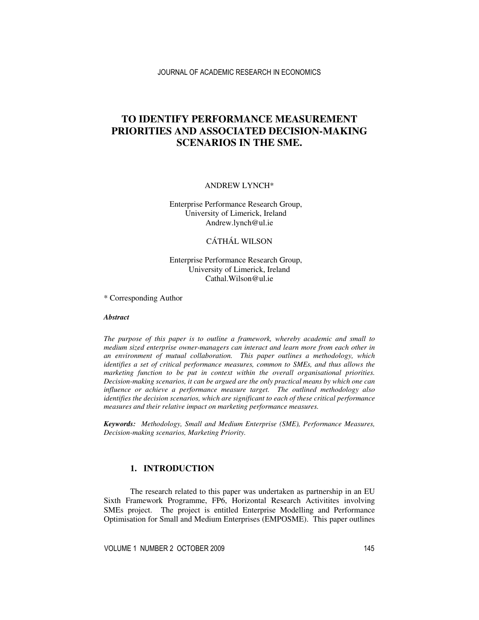# **TO IDENTIFY PERFORMANCE MEASUREMENT PRIORITIES AND ASSOCIATED DECISION-MAKING SCENARIOS IN THE SME.**

ANDREW LYNCH\*

Enterprise Performance Research Group, University of Limerick, Ireland Andrew.lynch@ul.ie

### CÁTHÁL WILSON

### Enterprise Performance Research Group, University of Limerick, Ireland Cathal.Wilson@ul.ie

\* Corresponding Author

#### *Abstract*

*The purpose of this paper is to outline a framework, whereby academic and small to medium sized enterprise owner-managers can interact and learn more from each other in an environment of mutual collaboration. This paper outlines a methodology, which identifies a set of critical performance measures, common to SMEs, and thus allows the marketing function to be put in context within the overall organisational priorities. Decision-making scenarios, it can be argued are the only practical means by which one can influence or achieve a performance measure target. The outlined methodology also identifies the decision scenarios, which are significant to each of these critical performance measures and their relative impact on marketing performance measures.* 

*Keywords: Methodology, Small and Medium Enterprise (SME), Performance Measures, Decision-making scenarios, Marketing Priority.* 

### **1. INTRODUCTION**

The research related to this paper was undertaken as partnership in an EU Sixth Framework Programme, FP6, Horizontal Research Activitites involving SMEs project. The project is entitled Enterprise Modelling and Performance Optimisation for Small and Medium Enterprises (EMPOSME). This paper outlines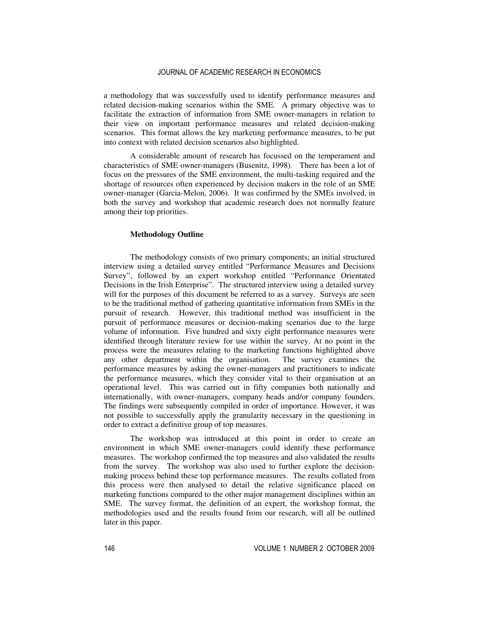a methodology that was successfully used to identify performance measures and related decision-making scenarios within the SME. A primary objective was to facilitate the extraction of information from SME owner-managers in relation to their view on important performance measures and related decision-making scenarios. This format allows the key marketing performance measures, to be put into context with related decision scenarios also highlighted.

A considerable amount of research has focussed on the temperament and characteristics of SME owner-managers (Busenitz, 1998). There has been a lot of focus on the pressures of the SME environment, the multi-tasking required and the shortage of resources often experienced by decision makers in the role of an SME owner-manager (Garcia-Melon, 2006). It was confirmed by the SMEs involved, in both the survey and workshop that academic research does not normally feature among their top priorities.

#### **Methodology Outline**

The methodology consists of two primary components; an initial structured interview using a detailed survey entitled "Performance Measures and Decisions Survey", followed by an expert workshop entitled "Performance Orientated Decisions in the Irish Enterprise". The structured interview using a detailed survey will for the purposes of this document be referred to as a survey. Surveys are seen to be the traditional method of gathering quantitative information from SMEs in the pursuit of research. However, this traditional method was insufficient in the pursuit of performance measures or decision-making scenarios due to the large volume of information. Five hundred and sixty eight performance measures were identified through literature review for use within the survey. At no point in the process were the measures relating to the marketing functions highlighted above any other department within the organisation. The survey examines the performance measures by asking the owner-managers and practitioners to indicate the performance measures, which they consider vital to their organisation at an operational level. This was carried out in fifty companies both nationally and internationally, with owner-managers, company heads and/or company founders. The findings were subsequently compiled in order of importance. However, it was not possible to successfully apply the granularity necessary in the questioning in order to extract a definitive group of top measures.

The workshop was introduced at this point in order to create an environment in which SME owner-managers could identify these performance measures. The workshop confirmed the top measures and also validated the results from the survey. The workshop was also used to further explore the decisionmaking process behind these top performance measures. The results collated from this process were then analysed to detail the relative significance placed on marketing functions compared to the other major management disciplines within an SME. The survey format, the definition of an expert, the workshop format, the methodologies used and the results found from our research, will all be outlined later in this paper.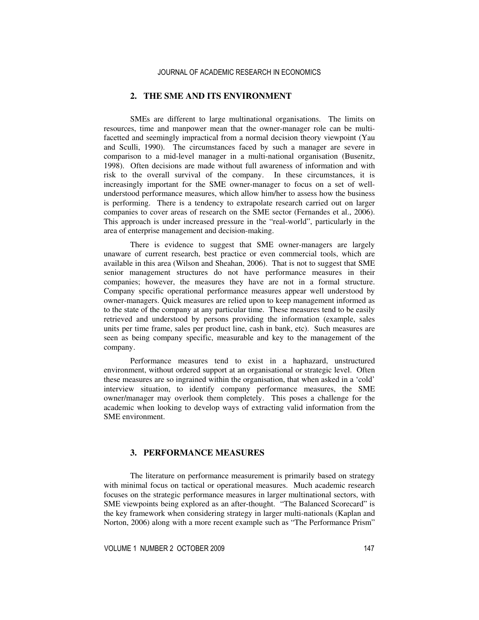# **2. THE SME AND ITS ENVIRONMENT**

SMEs are different to large multinational organisations. The limits on resources, time and manpower mean that the owner-manager role can be multifacetted and seemingly impractical from a normal decision theory viewpoint (Yau and Sculli, 1990). The circumstances faced by such a manager are severe in comparison to a mid-level manager in a multi-national organisation (Busenitz, 1998). Often decisions are made without full awareness of information and with risk to the overall survival of the company. In these circumstances, it is increasingly important for the SME owner-manager to focus on a set of wellunderstood performance measures, which allow him/her to assess how the business is performing. There is a tendency to extrapolate research carried out on larger companies to cover areas of research on the SME sector (Fernandes et al., 2006). This approach is under increased pressure in the "real-world", particularly in the area of enterprise management and decision-making.

There is evidence to suggest that SME owner-managers are largely unaware of current research, best practice or even commercial tools, which are available in this area (Wilson and Sheahan, 2006). That is not to suggest that SME senior management structures do not have performance measures in their companies; however, the measures they have are not in a formal structure. Company specific operational performance measures appear well understood by owner-managers. Quick measures are relied upon to keep management informed as to the state of the company at any particular time. These measures tend to be easily retrieved and understood by persons providing the information (example, sales units per time frame, sales per product line, cash in bank, etc). Such measures are seen as being company specific, measurable and key to the management of the company.

Performance measures tend to exist in a haphazard, unstructured environment, without ordered support at an organisational or strategic level. Often these measures are so ingrained within the organisation, that when asked in a 'cold' interview situation, to identify company performance measures, the SME owner/manager may overlook them completely. This poses a challenge for the academic when looking to develop ways of extracting valid information from the SME environment.

# **3. PERFORMANCE MEASURES**

The literature on performance measurement is primarily based on strategy with minimal focus on tactical or operational measures. Much academic research focuses on the strategic performance measures in larger multinational sectors, with SME viewpoints being explored as an after-thought. "The Balanced Scorecard" is the key framework when considering strategy in larger multi-nationals (Kaplan and Norton, 2006) along with a more recent example such as "The Performance Prism"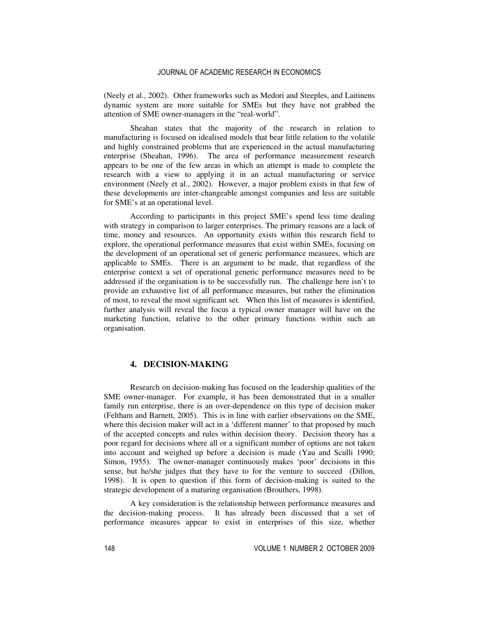(Neely et al., 2002). Other frameworks such as Medori and Steeples, and Laitinens dynamic system are more suitable for SMEs but they have not grabbed the attention of SME owner-managers in the "real-world".

Sheahan states that the majority of the research in relation to manufacturing is focused on idealised models that bear little relation to the volatile and highly constrained problems that are experienced in the actual manufacturing enterprise (Sheahan, 1996). The area of performance measurement research appears to be one of the few areas in which an attempt is made to complete the research with a view to applying it in an actual manufacturing or service environment (Neely et al., 2002). However, a major problem exists in that few of these developments are inter-changeable amongst companies and less are suitable for SME's at an operational level.

According to participants in this project SME's spend less time dealing with strategy in comparison to larger enterprises. The primary reasons are a lack of time, money and resources. An opportunity exists within this research field to explore, the operational performance measures that exist within SMEs, focusing on the development of an operational set of generic performance measures, which are applicable to SMEs. There is an argument to be made, that regardless of the enterprise context a set of operational generic performance measures need to be addressed if the organisation is to be successfully run. The challenge here isn't to provide an exhaustive list of all performance measures, but rather the elimination of most, to reveal the most significant set. When this list of measures is identified, further analysis will reveal the focus a typical owner manager will have on the marketing function, relative to the other primary functions within such an organisation.

#### **4. DECISION-MAKING**

Research on decision-making has focused on the leadership qualities of the SME owner-manager. For example, it has been demonstrated that in a smaller family run enterprise, there is an over-dependence on this type of decision maker (Feltham and Barnett, 2005). This is in line with earlier observations on the SME, where this decision maker will act in a 'different manner' to that proposed by much of the accepted concepts and rules within decision theory. Decision theory has a poor regard for decisions where all or a significant number of options are not taken into account and weighed up before a decision is made (Yau and Sculli 1990; Simon, 1955). The owner-manager continuously makes 'poor' decisions in this sense, but he/she judges that they have to for the venture to succeed (Dillon, 1998). It is open to question if this form of decision-making is suited to the strategic development of a maturing organisation (Brouthers, 1998).

A key consideration is the relationship between performance measures and the decision-making process. It has already been discussed that a set of performance measures appear to exist in enterprises of this size, whether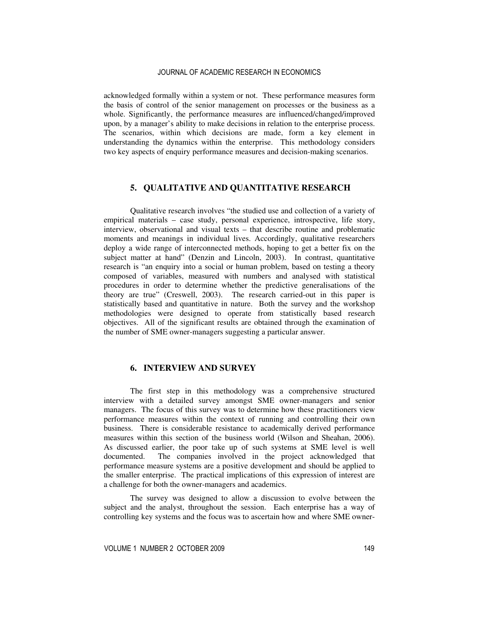acknowledged formally within a system or not. These performance measures form the basis of control of the senior management on processes or the business as a whole. Significantly, the performance measures are influenced/changed/improved upon, by a manager's ability to make decisions in relation to the enterprise process. The scenarios, within which decisions are made, form a key element in understanding the dynamics within the enterprise. This methodology considers two key aspects of enquiry performance measures and decision-making scenarios.

#### **5. QUALITATIVE AND QUANTITATIVE RESEARCH**

Qualitative research involves "the studied use and collection of a variety of empirical materials – case study, personal experience, introspective, life story, interview, observational and visual texts – that describe routine and problematic moments and meanings in individual lives. Accordingly, qualitative researchers deploy a wide range of interconnected methods, hoping to get a better fix on the subject matter at hand" (Denzin and Lincoln, 2003). In contrast, quantitative research is "an enquiry into a social or human problem, based on testing a theory composed of variables, measured with numbers and analysed with statistical procedures in order to determine whether the predictive generalisations of the theory are true" (Creswell, 2003). The research carried-out in this paper is statistically based and quantitative in nature. Both the survey and the workshop methodologies were designed to operate from statistically based research objectives. All of the significant results are obtained through the examination of the number of SME owner-managers suggesting a particular answer.

# **6. INTERVIEW AND SURVEY**

The first step in this methodology was a comprehensive structured interview with a detailed survey amongst SME owner-managers and senior managers. The focus of this survey was to determine how these practitioners view performance measures within the context of running and controlling their own business. There is considerable resistance to academically derived performance measures within this section of the business world (Wilson and Sheahan, 2006). As discussed earlier, the poor take up of such systems at SME level is well documented. The companies involved in the project acknowledged that performance measure systems are a positive development and should be applied to the smaller enterprise. The practical implications of this expression of interest are a challenge for both the owner-managers and academics.

The survey was designed to allow a discussion to evolve between the subject and the analyst, throughout the session. Each enterprise has a way of controlling key systems and the focus was to ascertain how and where SME owner-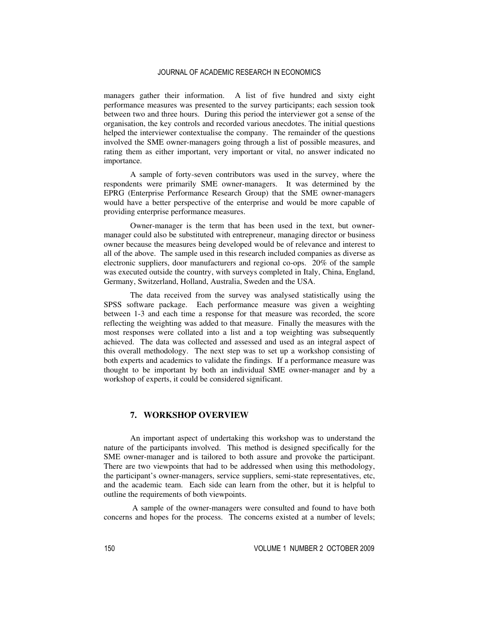managers gather their information. A list of five hundred and sixty eight performance measures was presented to the survey participants; each session took between two and three hours. During this period the interviewer got a sense of the organisation, the key controls and recorded various anecdotes. The initial questions helped the interviewer contextualise the company. The remainder of the questions involved the SME owner-managers going through a list of possible measures, and rating them as either important, very important or vital, no answer indicated no importance.

A sample of forty-seven contributors was used in the survey, where the respondents were primarily SME owner-managers. It was determined by the EPRG (Enterprise Performance Research Group) that the SME owner-managers would have a better perspective of the enterprise and would be more capable of providing enterprise performance measures.

Owner-manager is the term that has been used in the text, but ownermanager could also be substituted with entrepreneur, managing director or business owner because the measures being developed would be of relevance and interest to all of the above. The sample used in this research included companies as diverse as electronic suppliers, door manufacturers and regional co-ops. 20% of the sample was executed outside the country, with surveys completed in Italy, China, England, Germany, Switzerland, Holland, Australia, Sweden and the USA.

The data received from the survey was analysed statistically using the SPSS software package. Each performance measure was given a weighting between 1-3 and each time a response for that measure was recorded, the score reflecting the weighting was added to that measure. Finally the measures with the most responses were collated into a list and a top weighting was subsequently achieved. The data was collected and assessed and used as an integral aspect of this overall methodology. The next step was to set up a workshop consisting of both experts and academics to validate the findings. If a performance measure was thought to be important by both an individual SME owner-manager and by a workshop of experts, it could be considered significant.

#### **7. WORKSHOP OVERVIEW**

An important aspect of undertaking this workshop was to understand the nature of the participants involved. This method is designed specifically for the SME owner-manager and is tailored to both assure and provoke the participant. There are two viewpoints that had to be addressed when using this methodology, the participant's owner-managers, service suppliers, semi-state representatives, etc, and the academic team. Each side can learn from the other, but it is helpful to outline the requirements of both viewpoints.

 A sample of the owner-managers were consulted and found to have both concerns and hopes for the process. The concerns existed at a number of levels;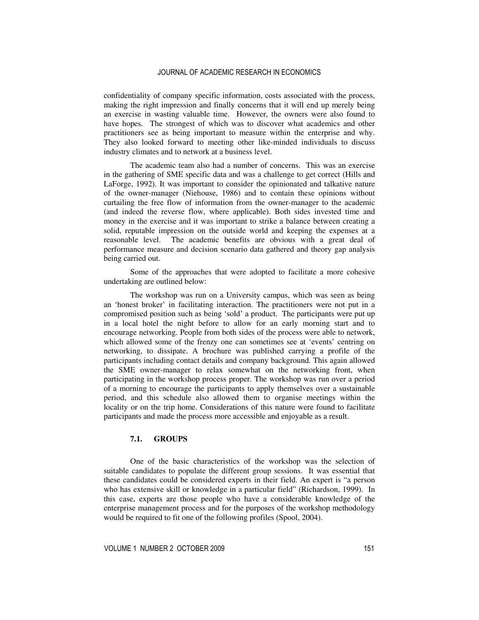confidentiality of company specific information, costs associated with the process, making the right impression and finally concerns that it will end up merely being an exercise in wasting valuable time. However, the owners were also found to have hopes. The strongest of which was to discover what academics and other practitioners see as being important to measure within the enterprise and why. They also looked forward to meeting other like-minded individuals to discuss industry climates and to network at a business level.

The academic team also had a number of concerns. This was an exercise in the gathering of SME specific data and was a challenge to get correct (Hills and LaForge, 1992). It was important to consider the opinionated and talkative nature of the owner-manager (Niehouse, 1986) and to contain these opinions without curtailing the free flow of information from the owner-manager to the academic (and indeed the reverse flow, where applicable). Both sides invested time and money in the exercise and it was important to strike a balance between creating a solid, reputable impression on the outside world and keeping the expenses at a reasonable level. The academic benefits are obvious with a great deal of performance measure and decision scenario data gathered and theory gap analysis being carried out.

Some of the approaches that were adopted to facilitate a more cohesive undertaking are outlined below:

The workshop was run on a University campus, which was seen as being an 'honest broker' in facilitating interaction. The practitioners were not put in a compromised position such as being 'sold' a product. The participants were put up in a local hotel the night before to allow for an early morning start and to encourage networking. People from both sides of the process were able to network, which allowed some of the frenzy one can sometimes see at 'events' centring on networking, to dissipate. A brochure was published carrying a profile of the participants including contact details and company background. This again allowed the SME owner-manager to relax somewhat on the networking front, when participating in the workshop process proper. The workshop was run over a period of a morning to encourage the participants to apply themselves over a sustainable period, and this schedule also allowed them to organise meetings within the locality or on the trip home. Considerations of this nature were found to facilitate participants and made the process more accessible and enjoyable as a result.

# **7.1. GROUPS**

One of the basic characteristics of the workshop was the selection of suitable candidates to populate the different group sessions. It was essential that these candidates could be considered experts in their field. An expert is "a person who has extensive skill or knowledge in a particular field" (Richardson, 1999). In this case, experts are those people who have a considerable knowledge of the enterprise management process and for the purposes of the workshop methodology would be required to fit one of the following profiles (Spool, 2004).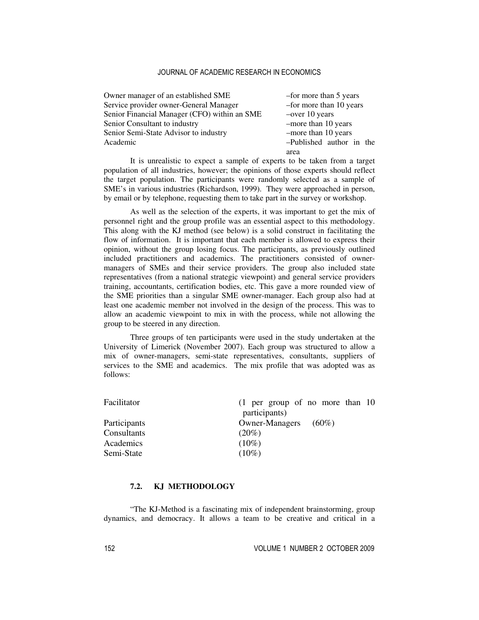| Owner manager of an established SME          | -for more than 5 years   |
|----------------------------------------------|--------------------------|
| Service provider owner-General Manager       | -for more than 10 years  |
| Senior Financial Manager (CFO) within an SME | $-$ over 10 years        |
| Senior Consultant to industry                | -more than 10 years      |
| Senior Semi-State Advisor to industry        | -more than 10 years      |
| Academic                                     | -Published author in the |
|                                              | area                     |

It is unrealistic to expect a sample of experts to be taken from a target population of all industries, however; the opinions of those experts should reflect the target population. The participants were randomly selected as a sample of SME's in various industries (Richardson, 1999). They were approached in person, by email or by telephone, requesting them to take part in the survey or workshop.

As well as the selection of the experts, it was important to get the mix of personnel right and the group profile was an essential aspect to this methodology. This along with the KJ method (see below) is a solid construct in facilitating the flow of information. It is important that each member is allowed to express their opinion, without the group losing focus. The participants, as previously outlined included practitioners and academics. The practitioners consisted of ownermanagers of SMEs and their service providers. The group also included state representatives (from a national strategic viewpoint) and general service providers training, accountants, certification bodies, etc. This gave a more rounded view of the SME priorities than a singular SME owner-manager. Each group also had at least one academic member not involved in the design of the process. This was to allow an academic viewpoint to mix in with the process, while not allowing the group to be steered in any direction.

Three groups of ten participants were used in the study undertaken at the University of Limerick (November 2007). Each group was structured to allow a mix of owner-managers, semi-state representatives, consultants, suppliers of services to the SME and academics. The mix profile that was adopted was as follows:

| $(1$ per group of no more than 10 |
|-----------------------------------|
| participants)                     |
| <b>Owner-Managers</b><br>$(60\%)$ |
| $(20\%)$                          |
| $(10\%)$                          |
| $(10\%)$                          |
|                                   |

# **7.2. KJ METHODOLOGY**

"The KJ-Method is a fascinating mix of independent brainstorming, group dynamics, and democracy. It allows a team to be creative and critical in a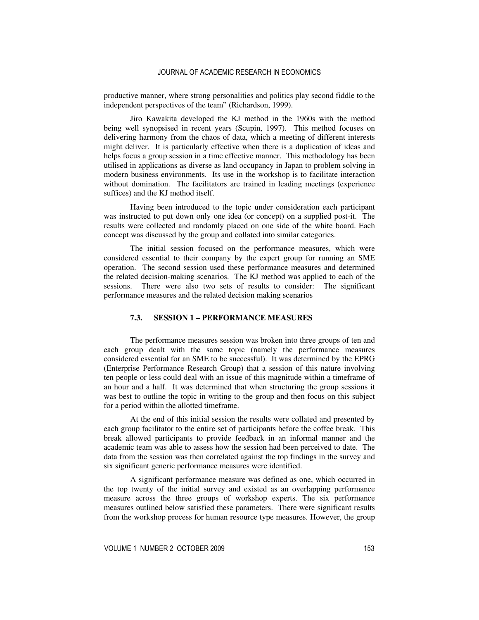productive manner, where strong personalities and politics play second fiddle to the independent perspectives of the team" (Richardson, 1999).

Jiro Kawakita developed the KJ method in the 1960s with the method being well synopsised in recent years (Scupin, 1997). This method focuses on delivering harmony from the chaos of data, which a meeting of different interests might deliver. It is particularly effective when there is a duplication of ideas and helps focus a group session in a time effective manner. This methodology has been utilised in applications as diverse as land occupancy in Japan to problem solving in modern business environments. Its use in the workshop is to facilitate interaction without domination. The facilitators are trained in leading meetings (experience suffices) and the KJ method itself.

Having been introduced to the topic under consideration each participant was instructed to put down only one idea (or concept) on a supplied post-it. The results were collected and randomly placed on one side of the white board. Each concept was discussed by the group and collated into similar categories.

The initial session focused on the performance measures, which were considered essential to their company by the expert group for running an SME operation. The second session used these performance measures and determined the related decision-making scenarios. The KJ method was applied to each of the sessions. There were also two sets of results to consider: The significant performance measures and the related decision making scenarios

#### **7.3. SESSION 1 – PERFORMANCE MEASURES**

The performance measures session was broken into three groups of ten and each group dealt with the same topic (namely the performance measures considered essential for an SME to be successful). It was determined by the EPRG (Enterprise Performance Research Group) that a session of this nature involving ten people or less could deal with an issue of this magnitude within a timeframe of an hour and a half. It was determined that when structuring the group sessions it was best to outline the topic in writing to the group and then focus on this subject for a period within the allotted timeframe.

At the end of this initial session the results were collated and presented by each group facilitator to the entire set of participants before the coffee break. This break allowed participants to provide feedback in an informal manner and the academic team was able to assess how the session had been perceived to date. The data from the session was then correlated against the top findings in the survey and six significant generic performance measures were identified.

A significant performance measure was defined as one, which occurred in the top twenty of the initial survey and existed as an overlapping performance measure across the three groups of workshop experts. The six performance measures outlined below satisfied these parameters. There were significant results from the workshop process for human resource type measures. However, the group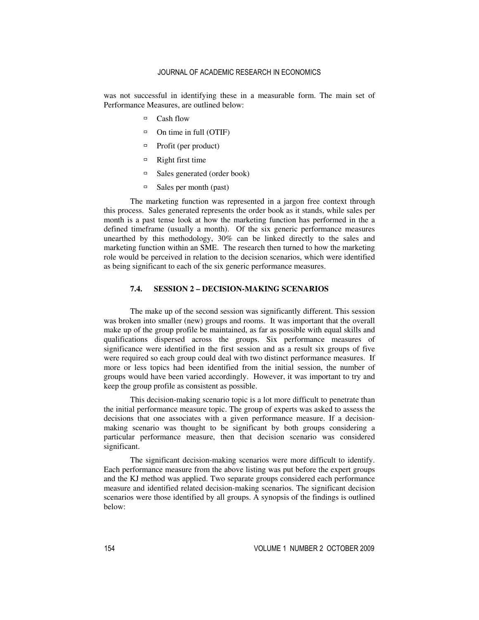was not successful in identifying these in a measurable form. The main set of Performance Measures, are outlined below:

- Cash flow
- $\Box$  On time in full (OTIF)
- $\Box$  Profit (per product)
- $\Box$  Right first time
- $\Box$  Sales generated (order book)
- $\Box$  Sales per month (past)

The marketing function was represented in a jargon free context through this process. Sales generated represents the order book as it stands, while sales per month is a past tense look at how the marketing function has performed in the a defined timeframe (usually a month). Of the six generic performance measures unearthed by this methodology, 30% can be linked directly to the sales and marketing function within an SME. The research then turned to how the marketing role would be perceived in relation to the decision scenarios, which were identified as being significant to each of the six generic performance measures.

#### **7.4. SESSION 2 – DECISION-MAKING SCENARIOS**

The make up of the second session was significantly different. This session was broken into smaller (new) groups and rooms. It was important that the overall make up of the group profile be maintained, as far as possible with equal skills and qualifications dispersed across the groups. Six performance measures of significance were identified in the first session and as a result six groups of five were required so each group could deal with two distinct performance measures. If more or less topics had been identified from the initial session, the number of groups would have been varied accordingly. However, it was important to try and keep the group profile as consistent as possible.

This decision-making scenario topic is a lot more difficult to penetrate than the initial performance measure topic. The group of experts was asked to assess the decisions that one associates with a given performance measure. If a decisionmaking scenario was thought to be significant by both groups considering a particular performance measure, then that decision scenario was considered significant.

The significant decision-making scenarios were more difficult to identify. Each performance measure from the above listing was put before the expert groups and the KJ method was applied. Two separate groups considered each performance measure and identified related decision-making scenarios. The significant decision scenarios were those identified by all groups. A synopsis of the findings is outlined below: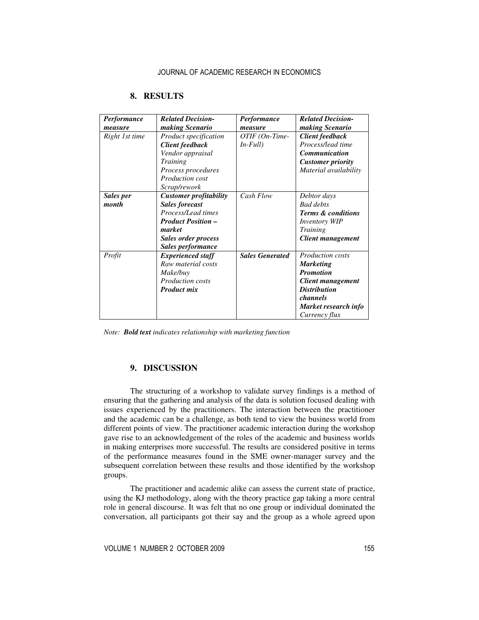| <b>Performance</b><br>measure | <b>Related Decision-</b><br>making Scenario                                                                                                                            | <b>Performance</b><br>measure | <b>Related Decision-</b><br>making Scenario                                                                                                                             |
|-------------------------------|------------------------------------------------------------------------------------------------------------------------------------------------------------------------|-------------------------------|-------------------------------------------------------------------------------------------------------------------------------------------------------------------------|
| Right 1st time                | Product specification<br><b>Client feedback</b><br>Vendor appraisal<br>Training<br>Process procedures<br><b>Production cost</b><br>Scrap/rework                        | OTIF (On-Time-<br>$In-Full)$  | <b>Client feedback</b><br>Process/lead time<br><b>Communication</b><br><b>Customer priority</b><br>Material availability                                                |
| Sales per<br>month            | <b>Customer profitability</b><br><b>Sales forecast</b><br>Process/Lead times<br><b>Product Position -</b><br>market<br>Sales order process<br><b>Sales performance</b> | Cash Flow                     | Debtor days<br><b>Bad debts</b><br><b>Terms &amp; conditions</b><br><i>Inventory WIP</i><br><b>Training</b><br><b>Client management</b>                                 |
| Profit                        | <b>Experienced staff</b><br>Raw material costs<br>Make/buy<br><b>Production costs</b><br><b>Product mix</b>                                                            | <b>Sales Generated</b>        | <b>Production costs</b><br><b>Marketing</b><br><b>Promotion</b><br><b>Client management</b><br><b>Distribution</b><br>channels<br>Market research info<br>Currency flux |

# **8. RESULTS**

*Note: Bold text indicates relationship with marketing function* 

# **9. DISCUSSION**

The structuring of a workshop to validate survey findings is a method of ensuring that the gathering and analysis of the data is solution focused dealing with issues experienced by the practitioners. The interaction between the practitioner and the academic can be a challenge, as both tend to view the business world from different points of view. The practitioner academic interaction during the workshop gave rise to an acknowledgement of the roles of the academic and business worlds in making enterprises more successful. The results are considered positive in terms of the performance measures found in the SME owner-manager survey and the subsequent correlation between these results and those identified by the workshop groups.

The practitioner and academic alike can assess the current state of practice, using the KJ methodology, along with the theory practice gap taking a more central role in general discourse. It was felt that no one group or individual dominated the conversation, all participants got their say and the group as a whole agreed upon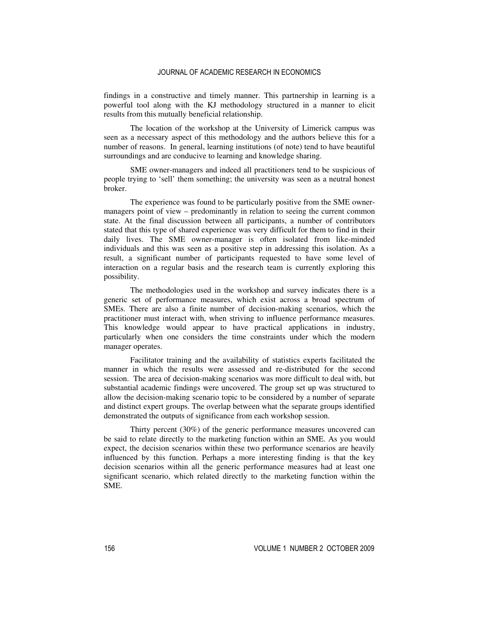findings in a constructive and timely manner. This partnership in learning is a powerful tool along with the KJ methodology structured in a manner to elicit results from this mutually beneficial relationship.

The location of the workshop at the University of Limerick campus was seen as a necessary aspect of this methodology and the authors believe this for a number of reasons. In general, learning institutions (of note) tend to have beautiful surroundings and are conducive to learning and knowledge sharing.

SME owner-managers and indeed all practitioners tend to be suspicious of people trying to 'sell' them something; the university was seen as a neutral honest broker.

The experience was found to be particularly positive from the SME ownermanagers point of view – predominantly in relation to seeing the current common state. At the final discussion between all participants, a number of contributors stated that this type of shared experience was very difficult for them to find in their daily lives. The SME owner-manager is often isolated from like-minded individuals and this was seen as a positive step in addressing this isolation. As a result, a significant number of participants requested to have some level of interaction on a regular basis and the research team is currently exploring this possibility.

The methodologies used in the workshop and survey indicates there is a generic set of performance measures, which exist across a broad spectrum of SMEs. There are also a finite number of decision-making scenarios, which the practitioner must interact with, when striving to influence performance measures. This knowledge would appear to have practical applications in industry, particularly when one considers the time constraints under which the modern manager operates.

Facilitator training and the availability of statistics experts facilitated the manner in which the results were assessed and re-distributed for the second session. The area of decision-making scenarios was more difficult to deal with, but substantial academic findings were uncovered. The group set up was structured to allow the decision-making scenario topic to be considered by a number of separate and distinct expert groups. The overlap between what the separate groups identified demonstrated the outputs of significance from each workshop session.

Thirty percent (30%) of the generic performance measures uncovered can be said to relate directly to the marketing function within an SME. As you would expect, the decision scenarios within these two performance scenarios are heavily influenced by this function. Perhaps a more interesting finding is that the key decision scenarios within all the generic performance measures had at least one significant scenario, which related directly to the marketing function within the SME.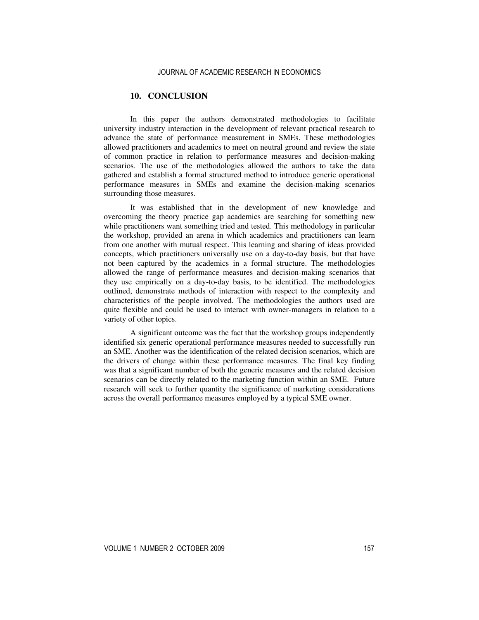# **10. CONCLUSION**

In this paper the authors demonstrated methodologies to facilitate university industry interaction in the development of relevant practical research to advance the state of performance measurement in SMEs. These methodologies allowed practitioners and academics to meet on neutral ground and review the state of common practice in relation to performance measures and decision-making scenarios. The use of the methodologies allowed the authors to take the data gathered and establish a formal structured method to introduce generic operational performance measures in SMEs and examine the decision-making scenarios surrounding those measures.

It was established that in the development of new knowledge and overcoming the theory practice gap academics are searching for something new while practitioners want something tried and tested. This methodology in particular the workshop, provided an arena in which academics and practitioners can learn from one another with mutual respect. This learning and sharing of ideas provided concepts, which practitioners universally use on a day-to-day basis, but that have not been captured by the academics in a formal structure. The methodologies allowed the range of performance measures and decision-making scenarios that they use empirically on a day-to-day basis, to be identified. The methodologies outlined, demonstrate methods of interaction with respect to the complexity and characteristics of the people involved. The methodologies the authors used are quite flexible and could be used to interact with owner-managers in relation to a variety of other topics.

A significant outcome was the fact that the workshop groups independently identified six generic operational performance measures needed to successfully run an SME. Another was the identification of the related decision scenarios, which are the drivers of change within these performance measures. The final key finding was that a significant number of both the generic measures and the related decision scenarios can be directly related to the marketing function within an SME. Future research will seek to further quantity the significance of marketing considerations across the overall performance measures employed by a typical SME owner.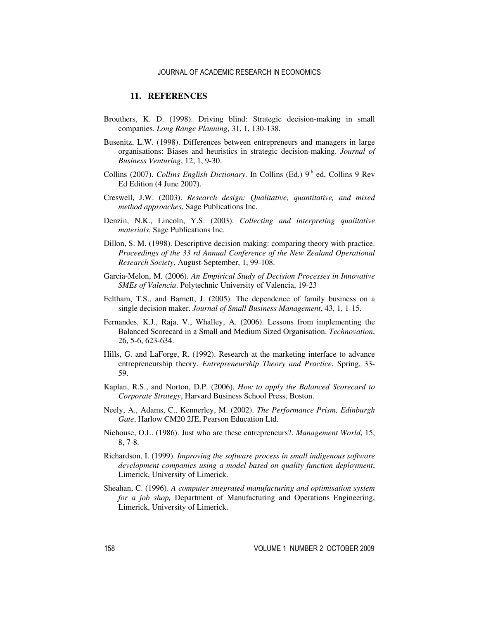#### **11. REFERENCES**

- Brouthers, K. D. (1998). Driving blind: Strategic decision-making in small companies. *Long Range Planning*, 31, 1, 130-138.
- Busenitz, L.W. (1998). Differences between entrepreneurs and managers in large organisations: Biases and heuristics in strategic decision-making. *Journal of Business Venturing*, 12, 1, 9-30.
- Collins (2007). *Collins English Dictionary*. In Collins (Ed.) 9<sup>th</sup> ed, Collins 9 Rev Ed Edition (4 June 2007).
- Creswell, J.W. (2003). *Research design: Qualitative, quantitative, and mixed method approaches*, Sage Publications Inc.
- Denzin, N.K., Lincoln, Y.S. (2003). *Collecting and interpreting qualitative materials*, Sage Publications Inc.
- Dillon, S. M. (1998). Descriptive decision making: comparing theory with practice. *Proceedings of the 33 rd Annual Conference of the New Zealand Operational Research Society*, August-September, 1, 99-108.
- Garcia-Melon, M. (2006). *An Empirical Study of Decision Processes in Innovative SMEs of Valencia*. Polytechnic University of Valencia, 19-23
- Feltham, T.S., and Barnett, J. (2005). The dependence of family business on a single decision maker. *Journal of Small Business Management*, 43, 1, 1-15.
- Fernandes, K.J., Raja, V., Whalley, A. (2006). Lessons from implementing the Balanced Scorecard in a Small and Medium Sized Organisation. *Technovation*, 26, 5-6, 623-634.
- Hills, G. and LaForge, R. (1992). Research at the marketing interface to advance entrepreneurship theory. *Entrepreneurship Theory and Practice*, Spring, 33- 59.
- Kaplan, R.S., and Norton, D.P. (2006). *How to apply the Balanced Scorecard to Corporate Strategy*, Harvard Business School Press, Boston.
- Neely, A., Adams, C., Kennerley, M. (2002). *The Performance Prism, Edinburgh Gate*, Harlow CM20 2JE, Pearson Education Ltd.
- Niehouse, O.L. (1986). Just who are these entrepreneurs?. *Management World*, 15, 8, 7-8.
- Richardson, I. (1999). *Improving the software process in small indigenous software development companies using a model based on quality function deployment*, Limerick, University of Limerick.
- Sheahan, C. (1996). *A computer integrated manufacturing and optimisation system for a job shop,* Department of Manufacturing and Operations Engineering, Limerick, University of Limerick.